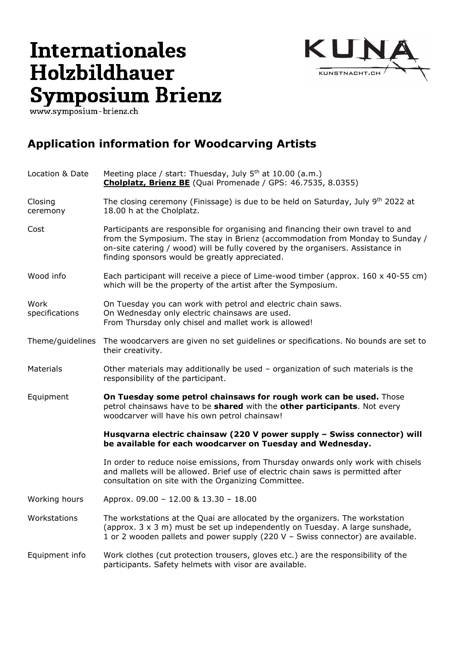## Internationales **Holzbildhauer** Symposium Brienz



## **Application information for Woodcarving Artists**

| Location & Date        | Meeting place / start: Thuesday, July 5 <sup>th</sup> at 10.00 (a.m.)<br><b>Cholplatz, Brienz BE</b> (Quai Promenade / GPS: 46.7535, 8.0355)                                                                                                                                                            |
|------------------------|---------------------------------------------------------------------------------------------------------------------------------------------------------------------------------------------------------------------------------------------------------------------------------------------------------|
| Closing<br>ceremony    | The closing ceremony (Finissage) is due to be held on Saturday, July 9th 2022 at<br>18.00 h at the Cholplatz.                                                                                                                                                                                           |
| Cost                   | Participants are responsible for organising and financing their own travel to and<br>from the Symposium. The stay in Brienz (accommodation from Monday to Sunday /<br>on-site catering / wood) will be fully covered by the organisers. Assistance in<br>finding sponsors would be greatly appreciated. |
| Wood info              | Each participant will receive a piece of Lime-wood timber (approx. 160 x 40-55 cm)<br>which will be the property of the artist after the Symposium.                                                                                                                                                     |
| Work<br>specifications | On Tuesday you can work with petrol and electric chain saws.<br>On Wednesday only electric chainsaws are used.<br>From Thursday only chisel and mallet work is allowed!                                                                                                                                 |
| Theme/guidelines       | The woodcarvers are given no set guidelines or specifications. No bounds are set to<br>their creativity.                                                                                                                                                                                                |
| Materials              | Other materials may additionally be used - organization of such materials is the<br>responsibility of the participant.                                                                                                                                                                                  |
| Equipment              | On Tuesday some petrol chainsaws for rough work can be used. Those<br>petrol chainsaws have to be shared with the other participants. Not every<br>woodcarver will have his own petrol chainsaw!                                                                                                        |
|                        | Husqvarna electric chainsaw (220 V power supply - Swiss connector) will<br>be available for each woodcarver on Tuesday and Wednesday.                                                                                                                                                                   |
|                        | In order to reduce noise emissions, from Thursday onwards only work with chisels<br>and mallets will be allowed. Brief use of electric chain saws is permitted after<br>consultation on site with the Organizing Committee.                                                                             |
| Working hours          | Approx. 09.00 - 12.00 & 13.30 - 18.00                                                                                                                                                                                                                                                                   |
| Workstations           | The workstations at the Quai are allocated by the organizers. The workstation<br>(approx. $3 \times 3$ m) must be set up independently on Tuesday. A large sunshade,<br>1 or 2 wooden pallets and power supply (220 V - Swiss connector) are available.                                                 |
| Equipment info         | Work clothes (cut protection trousers, gloves etc.) are the responsibility of the<br>participants. Safety helmets with visor are available.                                                                                                                                                             |